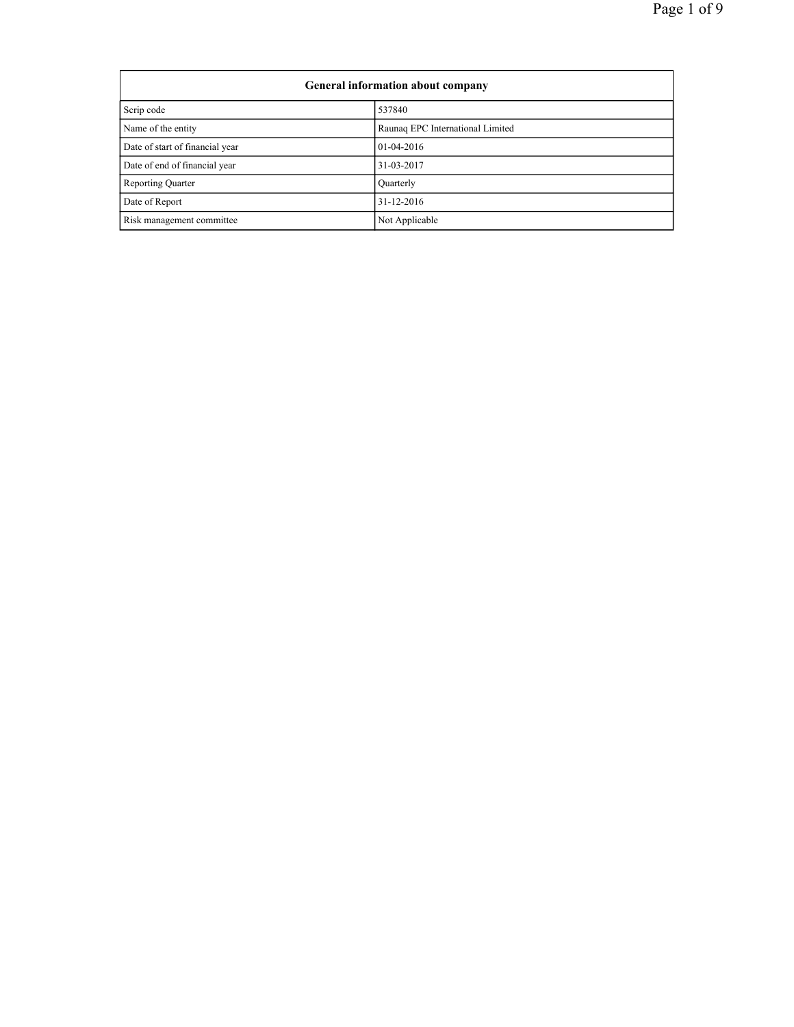| General information about company |                                  |  |
|-----------------------------------|----------------------------------|--|
| Scrip code                        | 537840                           |  |
| Name of the entity                | Raunaq EPC International Limited |  |
| Date of start of financial year   | $01-04-2016$                     |  |
| Date of end of financial year     | 31-03-2017                       |  |
| <b>Reporting Quarter</b>          | Quarterly                        |  |
| Date of Report                    | 31-12-2016                       |  |
| Risk management committee         | Not Applicable                   |  |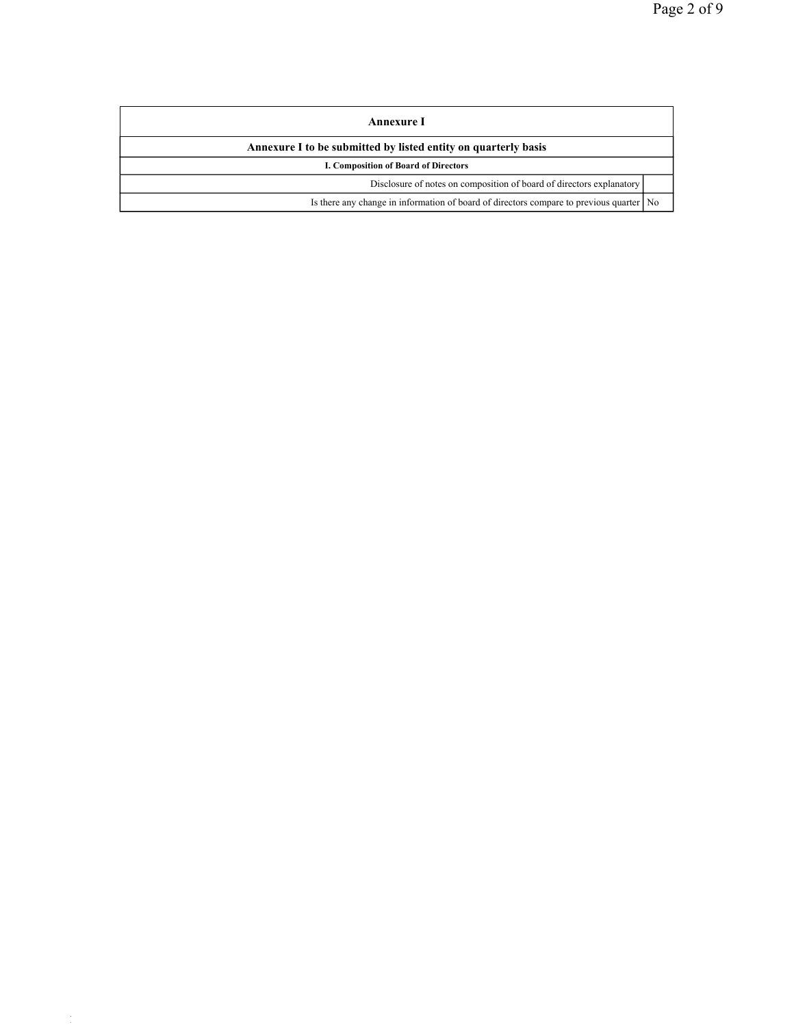| Annexure I                                                                                |  |  |
|-------------------------------------------------------------------------------------------|--|--|
| Annexure I to be submitted by listed entity on quarterly basis                            |  |  |
| I. Composition of Board of Directors                                                      |  |  |
| Disclosure of notes on composition of board of directors explanatory                      |  |  |
| Is there any change in information of board of directors compare to previous quarter   No |  |  |

file://192.168.1.11.11.11.11.11.11.11.11.11/Secretarial\_Data/Lipika %20<br>20 Ani 2010 - 11-01-2017 - 11-01-2017 - 11-01-2017 - 11-01-2017 - 11-01-2017 - 11-01-2017 - 11-01-2017 - 11-0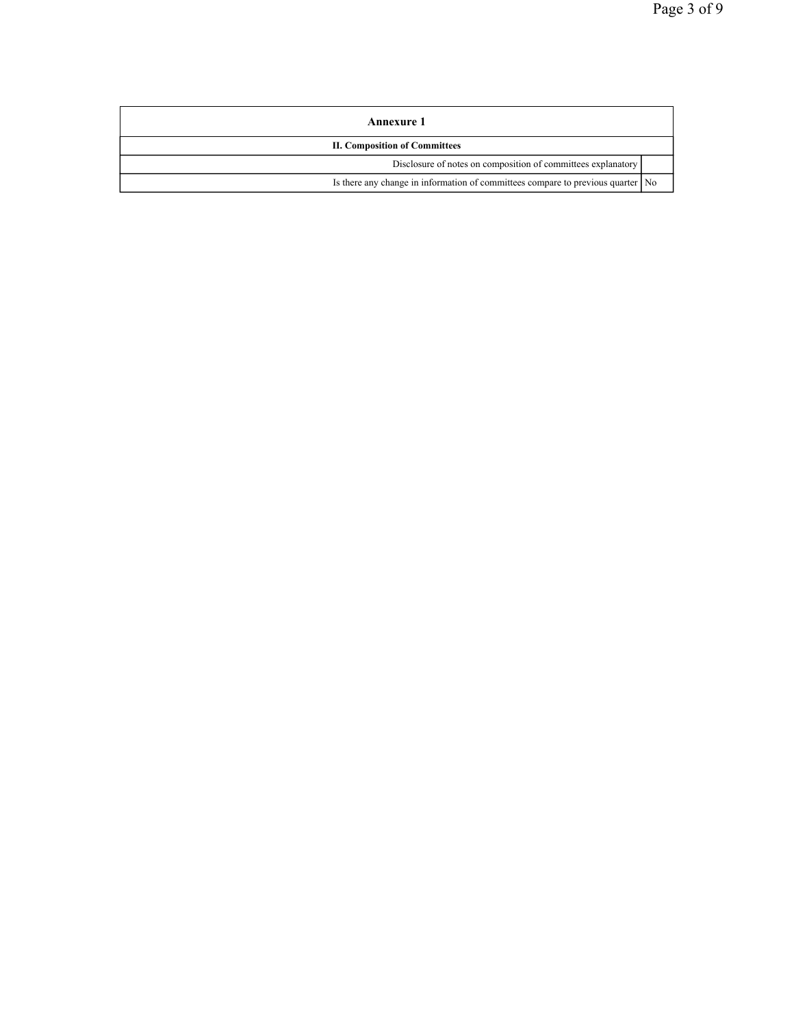| <b>Annexure 1</b>                                                                 |  |  |
|-----------------------------------------------------------------------------------|--|--|
| <b>II. Composition of Committees</b>                                              |  |  |
| Disclosure of notes on composition of committees explanatory                      |  |  |
| Is there any change in information of committees compare to previous quarter   No |  |  |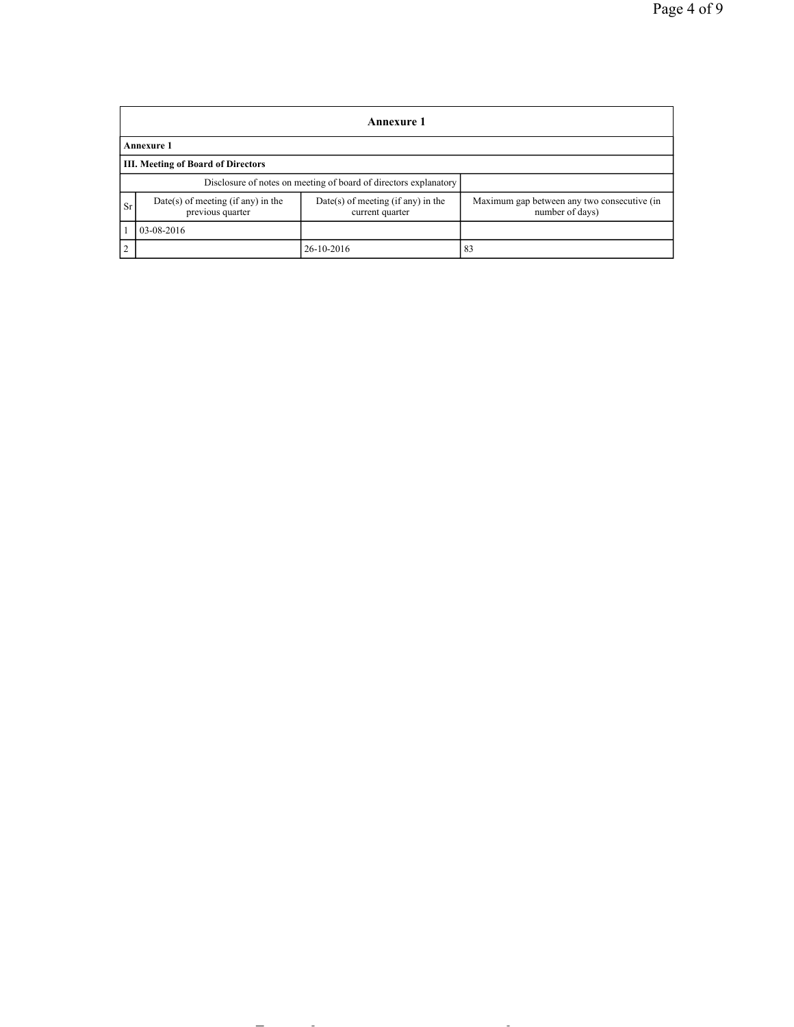|                                                                  | Annexure 1                                               |                                                         |                                                                |  |  |
|------------------------------------------------------------------|----------------------------------------------------------|---------------------------------------------------------|----------------------------------------------------------------|--|--|
|                                                                  | Annexure 1                                               |                                                         |                                                                |  |  |
|                                                                  | <b>III. Meeting of Board of Directors</b>                |                                                         |                                                                |  |  |
| Disclosure of notes on meeting of board of directors explanatory |                                                          |                                                         |                                                                |  |  |
| <b>Sr</b>                                                        | $Date(s)$ of meeting (if any) in the<br>previous quarter | $Date(s)$ of meeting (if any) in the<br>current quarter | Maximum gap between any two consecutive (in<br>number of days) |  |  |
|                                                                  | 03-08-2016                                               |                                                         |                                                                |  |  |
| 2                                                                |                                                          | 26-10-2016                                              | 83                                                             |  |  |

file://192.168.1.11/Secretarial\_Data/Lipika%20&%20Kaushal/Raunaq%20International... 11-01-2017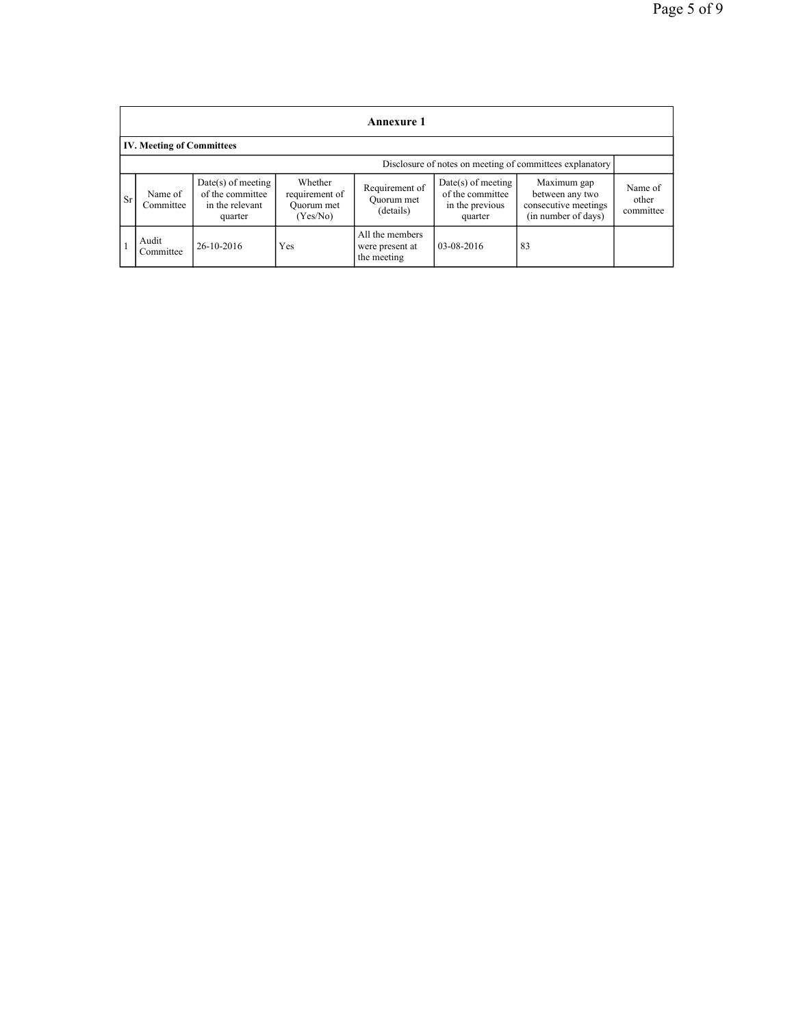|           | <b>Annexure 1</b>                                        |                                                                        |                                                     |                                                   |                                                                        |                                                                               |                               |
|-----------|----------------------------------------------------------|------------------------------------------------------------------------|-----------------------------------------------------|---------------------------------------------------|------------------------------------------------------------------------|-------------------------------------------------------------------------------|-------------------------------|
|           | <b>IV. Meeting of Committees</b>                         |                                                                        |                                                     |                                                   |                                                                        |                                                                               |                               |
|           | Disclosure of notes on meeting of committees explanatory |                                                                        |                                                     |                                                   |                                                                        |                                                                               |                               |
| <b>Sr</b> | Name of<br>Committee                                     | $Date(s)$ of meeting<br>of the committee<br>in the relevant<br>quarter | Whether<br>requirement of<br>Quorum met<br>(Yes/No) | Requirement of<br>Quorum met<br>(details)         | $Date(s)$ of meeting<br>of the committee<br>in the previous<br>quarter | Maximum gap<br>between any two<br>consecutive meetings<br>(in number of days) | Name of<br>other<br>committee |
|           | Audit<br>Committee                                       | 26-10-2016                                                             | Yes                                                 | All the members<br>were present at<br>the meeting | 03-08-2016                                                             | 83                                                                            |                               |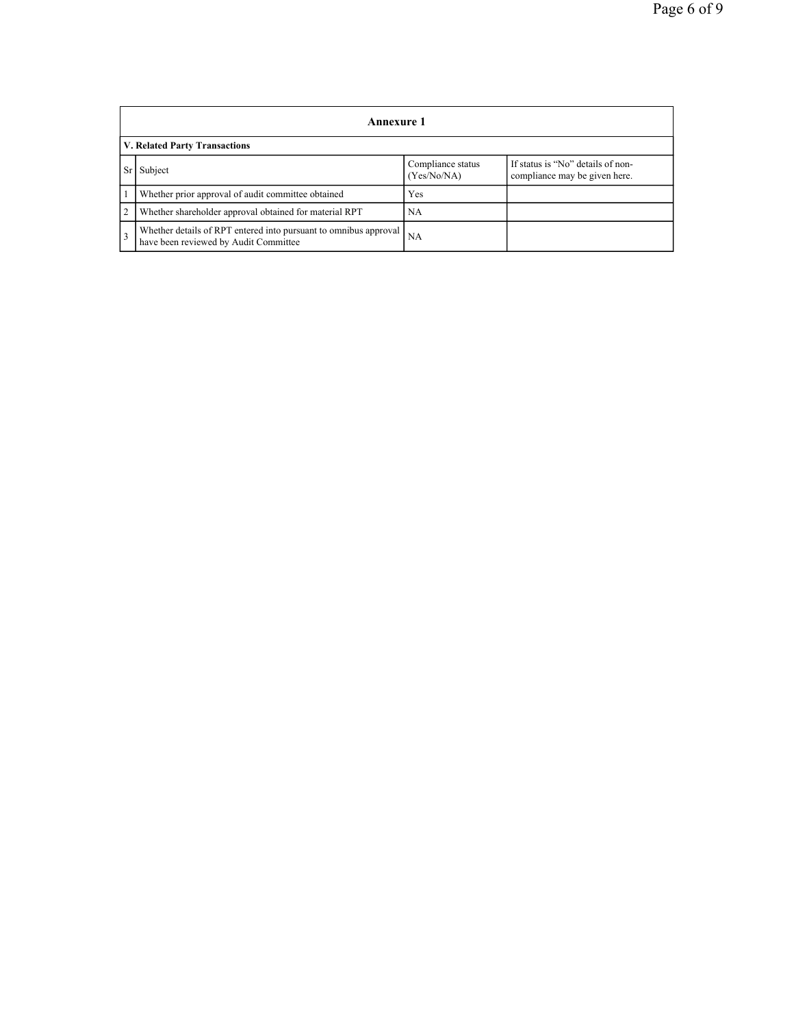|                | <b>Annexure 1</b>                                                                                         |                                  |                                                                    |  |  |
|----------------|-----------------------------------------------------------------------------------------------------------|----------------------------------|--------------------------------------------------------------------|--|--|
|                | <b>V. Related Party Transactions</b>                                                                      |                                  |                                                                    |  |  |
| Sr I           | Subject                                                                                                   | Compliance status<br>(Yes/No/NA) | If status is "No" details of non-<br>compliance may be given here. |  |  |
|                | Whether prior approval of audit committee obtained                                                        | Yes                              |                                                                    |  |  |
| $\overline{2}$ | Whether shareholder approval obtained for material RPT                                                    | <b>NA</b>                        |                                                                    |  |  |
| $\overline{3}$ | Whether details of RPT entered into pursuant to omnibus approval<br>have been reviewed by Audit Committee | <b>NA</b>                        |                                                                    |  |  |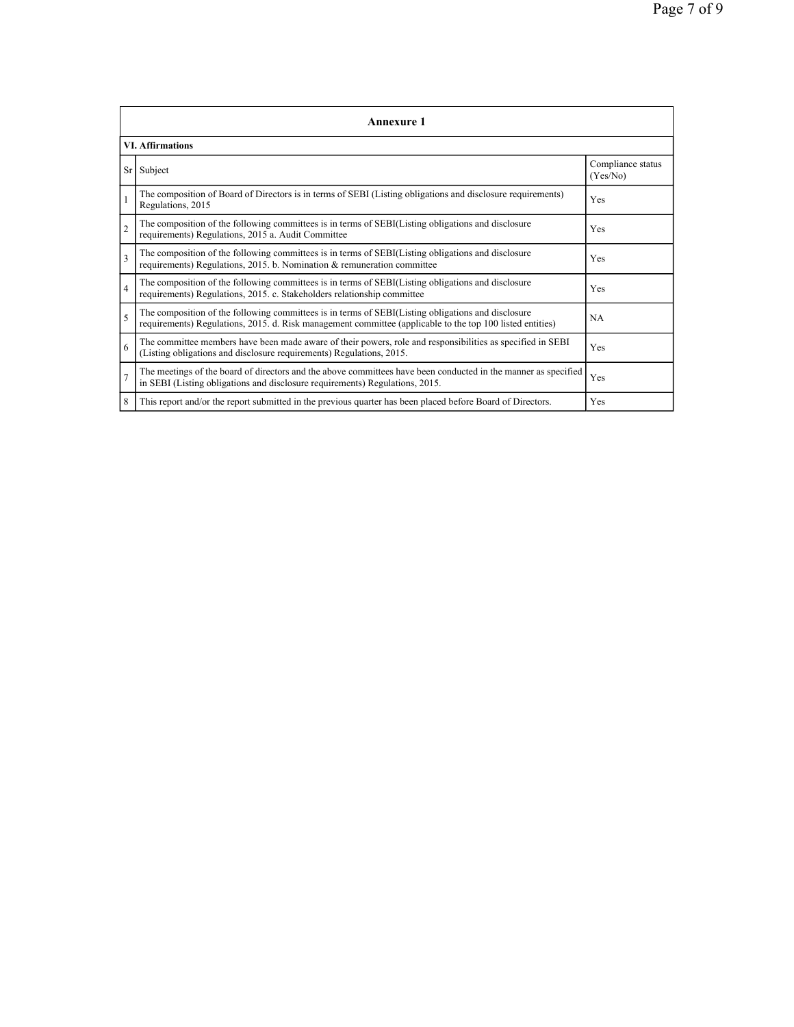|                | <b>Annexure 1</b>                                                                                                                                                                                               |                               |  |  |  |
|----------------|-----------------------------------------------------------------------------------------------------------------------------------------------------------------------------------------------------------------|-------------------------------|--|--|--|
|                | <b>VI. Affirmations</b>                                                                                                                                                                                         |                               |  |  |  |
| Sr             | Subject                                                                                                                                                                                                         | Compliance status<br>(Yes/No) |  |  |  |
| $\vert$ 1      | The composition of Board of Directors is in terms of SEBI (Listing obligations and disclosure requirements)<br>Regulations, 2015                                                                                | Yes                           |  |  |  |
| $\overline{2}$ | The composition of the following committees is in terms of SEBI(Listing obligations and disclosure<br>requirements) Regulations, 2015 a. Audit Committee                                                        | Yes                           |  |  |  |
| $\overline{3}$ | The composition of the following committees is in terms of SEBI(Listing obligations and disclosure<br>requirements) Regulations, 2015. b. Nomination & remuneration committee                                   | Yes                           |  |  |  |
| $\overline{4}$ | The composition of the following committees is in terms of SEBI(Listing obligations and disclosure<br>requirements) Regulations, 2015. c. Stakeholders relationship committee                                   | Yes                           |  |  |  |
| $\overline{5}$ | The composition of the following committees is in terms of SEBI(Listing obligations and disclosure<br>requirements) Regulations, 2015. d. Risk management committee (applicable to the top 100 listed entities) | <b>NA</b>                     |  |  |  |
| 6              | The committee members have been made aware of their powers, role and responsibilities as specified in SEBI<br>(Listing obligations and disclosure requirements) Regulations, 2015.                              | Yes                           |  |  |  |
| $\overline{7}$ | The meetings of the board of directors and the above committees have been conducted in the manner as specified<br>in SEBI (Listing obligations and disclosure requirements) Regulations, 2015.                  | Yes                           |  |  |  |
| 8              | This report and/or the report submitted in the previous quarter has been placed before Board of Directors.                                                                                                      | Yes                           |  |  |  |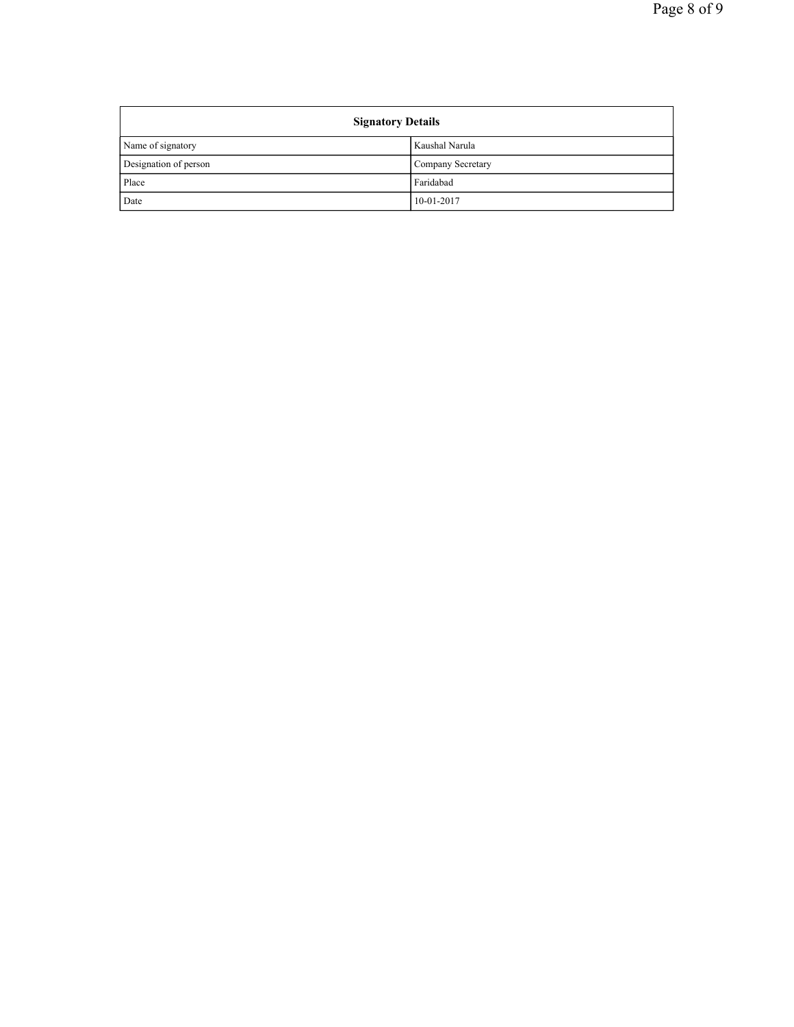| <b>Signatory Details</b> |                   |  |
|--------------------------|-------------------|--|
| Name of signatory        | Kaushal Narula    |  |
| Designation of person    | Company Secretary |  |
| Place                    | Faridabad         |  |
| Date                     | 10-01-2017        |  |